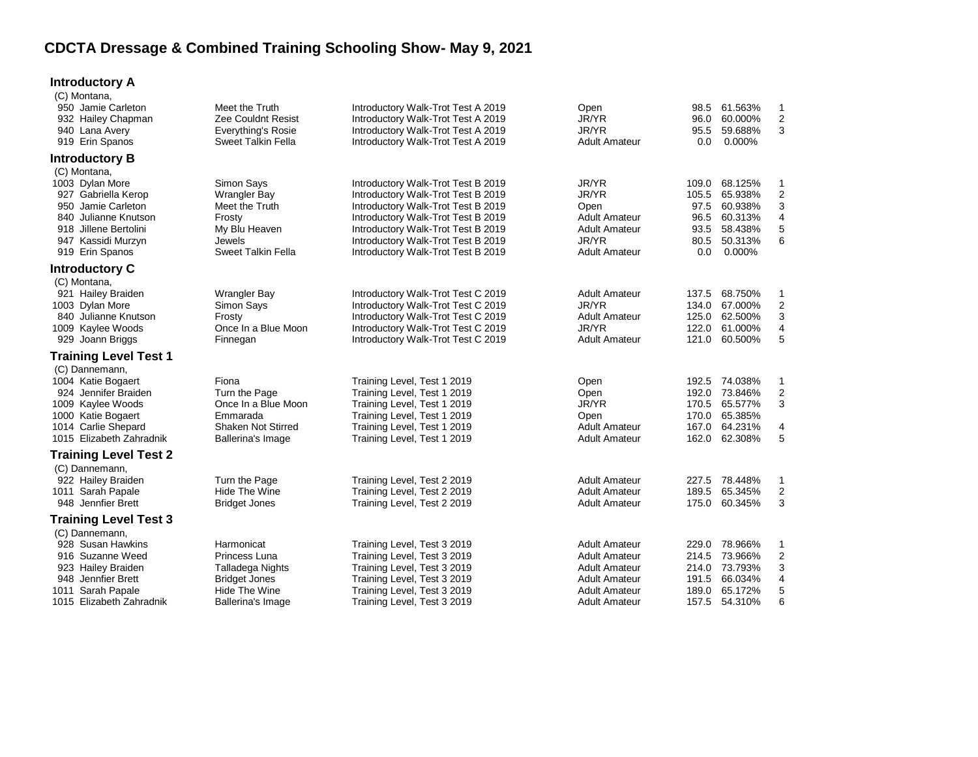## **CDCTA Dressage & Combined Training Schooling Show- May 9, 2021**

## **Introductory A**

| (C) Montana,<br>950 Jamie Carleton<br>932 Hailey Chapman<br>940 Lana Avery<br>919 Erin Spanos                                                                          | Meet the Truth<br>Zee Couldnt Resist<br><b>Everything's Rosie</b><br>Sweet Talkin Fella                                      | Introductory Walk-Trot Test A 2019<br>Introductory Walk-Trot Test A 2019<br>Introductory Walk-Trot Test A 2019<br>Introductory Walk-Trot Test A 2019                                                                                                                   | Open<br>JR/YR<br>JR/YR<br><b>Adult Amateur</b>                                                                       | 98.5<br>96.0<br>95.5<br>0.0                           | 61.563%<br>60.000%<br>59.688%<br>0.000%                                    | 1<br>2<br>3                                  |
|------------------------------------------------------------------------------------------------------------------------------------------------------------------------|------------------------------------------------------------------------------------------------------------------------------|------------------------------------------------------------------------------------------------------------------------------------------------------------------------------------------------------------------------------------------------------------------------|----------------------------------------------------------------------------------------------------------------------|-------------------------------------------------------|----------------------------------------------------------------------------|----------------------------------------------|
| <b>Introductory B</b>                                                                                                                                                  |                                                                                                                              |                                                                                                                                                                                                                                                                        |                                                                                                                      |                                                       |                                                                            |                                              |
| (C) Montana,<br>1003 Dylan More<br>927 Gabriella Kerop<br>950 Jamie Carleton<br>840 Julianne Knutson<br>918 Jillene Bertolini<br>947 Kassidi Murzyn<br>919 Erin Spanos | Simon Says<br><b>Wrangler Bay</b><br>Meet the Truth<br>Frosty<br>My Blu Heaven<br><b>Jewels</b><br><b>Sweet Talkin Fella</b> | Introductory Walk-Trot Test B 2019<br>Introductory Walk-Trot Test B 2019<br>Introductory Walk-Trot Test B 2019<br>Introductory Walk-Trot Test B 2019<br>Introductory Walk-Trot Test B 2019<br>Introductory Walk-Trot Test B 2019<br>Introductory Walk-Trot Test B 2019 | JR/YR<br>JR/YR<br>Open<br><b>Adult Amateur</b><br><b>Adult Amateur</b><br>JR/YR<br><b>Adult Amateur</b>              | 109.0<br>105.5<br>97.5<br>96.5<br>93.5<br>80.5<br>0.0 | 68.125%<br>65.938%<br>60.938%<br>60.313%<br>58.438%<br>50.313%<br>0.000%   | -1<br>$\overline{c}$<br>3<br>4<br>5<br>6     |
| <b>Introductory C</b>                                                                                                                                                  |                                                                                                                              |                                                                                                                                                                                                                                                                        |                                                                                                                      |                                                       |                                                                            |                                              |
| (C) Montana,<br>921 Hailey Braiden<br>1003 Dylan More<br>840 Julianne Knutson<br>1009 Kaylee Woods<br>929 Joann Briggs                                                 | <b>Wrangler Bay</b><br>Simon Says<br>Frosty<br>Once In a Blue Moon<br>Finnegan                                               | Introductory Walk-Trot Test C 2019<br>Introductory Walk-Trot Test C 2019<br>Introductory Walk-Trot Test C 2019<br>Introductory Walk-Trot Test C 2019<br>Introductory Walk-Trot Test C 2019                                                                             | <b>Adult Amateur</b><br>JR/YR<br><b>Adult Amateur</b><br>JR/YR<br><b>Adult Amateur</b>                               | 137.5<br>134.0<br>125.0<br>121.0                      | 68.750%<br>67.000%<br>62.500%<br>122.0 61.000%<br>60.500%                  | -1<br>2<br>3<br>4<br>5                       |
| Training Level Test 1                                                                                                                                                  |                                                                                                                              |                                                                                                                                                                                                                                                                        |                                                                                                                      |                                                       |                                                                            |                                              |
| (C) Dannemann,<br>1004 Katie Bogaert<br>924 Jennifer Braiden<br>1009 Kaylee Woods<br>1000 Katie Bogaert<br>1014 Carlie Shepard<br>1015 Elizabeth Zahradnik             | Fiona<br>Turn the Page<br>Once In a Blue Moon<br>Emmarada<br>Shaken Not Stirred<br>Ballerina's Image                         | Training Level, Test 1 2019<br>Training Level, Test 1 2019<br>Training Level, Test 1 2019<br>Training Level, Test 1 2019<br>Training Level, Test 1 2019<br>Training Level, Test 1 2019                                                                                 | Open<br>Open<br>JR/YR<br>Open<br><b>Adult Amateur</b><br><b>Adult Amateur</b>                                        | 192.0<br>170.5<br>170.0<br>167.0                      | 192.5 74.038%<br>73.846%<br>65.577%<br>65.385%<br>64.231%<br>162.0 62.308% | $\mathbf 1$<br>$\overline{2}$<br>3<br>4<br>5 |
| <b>Training Level Test 2</b>                                                                                                                                           |                                                                                                                              |                                                                                                                                                                                                                                                                        |                                                                                                                      |                                                       |                                                                            |                                              |
| (C) Dannemann,<br>922 Hailey Braiden<br>1011 Sarah Papale<br>948 Jennfier Brett                                                                                        | Turn the Page<br>Hide The Wine<br><b>Bridget Jones</b>                                                                       | Training Level, Test 2 2019<br>Training Level, Test 2 2019<br>Training Level, Test 2 2019                                                                                                                                                                              | <b>Adult Amateur</b><br><b>Adult Amateur</b><br><b>Adult Amateur</b>                                                 | 227.5<br>189.5<br>175.0                               | 78.448%<br>65.345%<br>60.345%                                              | -1<br>$\overline{2}$<br>3                    |
| <b>Training Level Test 3</b>                                                                                                                                           |                                                                                                                              |                                                                                                                                                                                                                                                                        |                                                                                                                      |                                                       |                                                                            |                                              |
| (C) Dannemann,<br>928 Susan Hawkins<br>916 Suzanne Weed<br>923 Hailey Braiden<br>948 Jennfier Brett<br>1011 Sarah Papale                                               | Harmonicat<br>Princess Luna<br>Talladega Nights<br><b>Bridget Jones</b><br>Hide The Wine                                     | Training Level, Test 3 2019<br>Training Level, Test 3 2019<br>Training Level, Test 3 2019<br>Training Level, Test 3 2019<br>Training Level, Test 3 2019                                                                                                                | <b>Adult Amateur</b><br><b>Adult Amateur</b><br><b>Adult Amateur</b><br><b>Adult Amateur</b><br><b>Adult Amateur</b> | 214.5<br>214.0<br>191.5<br>189.0                      | 229.0 78.966%<br>73.966%<br>73.793%<br>66.034%<br>65.172%                  | $\mathbf{1}$<br>2<br>3<br>4<br>5             |
| 1015 Elizabeth Zahradnik                                                                                                                                               | Ballerina's Image                                                                                                            | Training Level, Test 3 2019                                                                                                                                                                                                                                            | <b>Adult Amateur</b>                                                                                                 |                                                       | 157.5 54.310%                                                              | 6                                            |